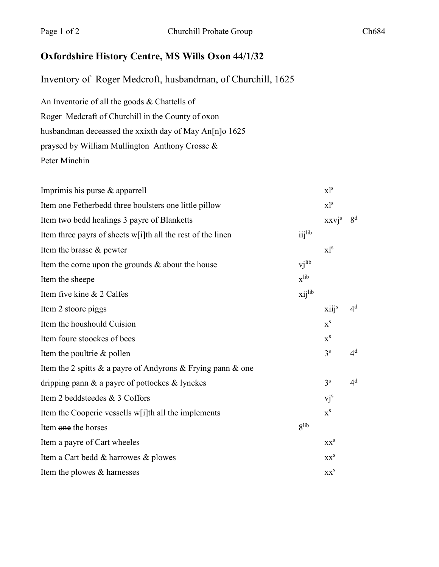## **Oxfordshire History Centre, MS Wills Oxon 44/1/32**

Inventory of Roger Medcroft, husbandman, of Churchill, 1625

An Inventorie of all the goods & Chattells of Roger Medcraft of Churchill in the County of oxon husbandman deceassed the xxixth day of May An[n]o 1625 praysed by William Mullington Anthony Crosse & Peter Minchin

| Imprimis his purse $&$ apparrell                                     |                       | $x1^s$                    |                |
|----------------------------------------------------------------------|-----------------------|---------------------------|----------------|
| Item one Fetherbedd three boulsters one little pillow                |                       | $x1^s$                    |                |
| Item two bedd healings 3 payre of Blanketts                          |                       | $XXVj^s$                  | 8 <sup>d</sup> |
| Item three payrs of sheets w[i]th all the rest of the linen          | $i$ ij <sup>lib</sup> |                           |                |
| Item the brasse & pewter                                             |                       | $x$ <sup>1s</sup>         |                |
| Item the corne upon the grounds & about the house                    | vi <sup>lib</sup>     |                           |                |
| Item the sheepe                                                      | $x^{lib}$             |                           |                |
| Item five kine & 2 Calfes                                            | xijlib                |                           |                |
| Item 2 stoore piggs                                                  |                       | $xiii^s$                  | $4^d$          |
| Item the houshould Cuision                                           |                       | $x^s$                     |                |
| Item foure stoockes of bees                                          |                       | $\mathbf{x}^{\mathbf{s}}$ |                |
| Item the poultrie & pollen                                           |                       | 3 <sup>s</sup>            | 4 <sup>d</sup> |
| Item the 2 spitts $\&$ a payre of Andyrons $\&$ Frying pann $\&$ one |                       |                           |                |
| dripping pann $\&$ a payre of pottockes $\&$ lynckes                 |                       | 3 <sup>s</sup>            | 4 <sup>d</sup> |
| Item 2 beddsteedes & 3 Coffors                                       |                       | $vj^s$                    |                |
| Item the Cooperie vessells w[i]th all the implements                 |                       | $X^S$                     |                |
| Item one the horses                                                  | <b>g</b> lib          |                           |                |
| Item a payre of Cart wheeles                                         |                       | XX <sup>S</sup>           |                |
| Item a Cart bedd & harrowes & plowes                                 |                       | $XX^S$                    |                |
| Item the plowes & harnesses                                          |                       | XX <sup>S</sup>           |                |